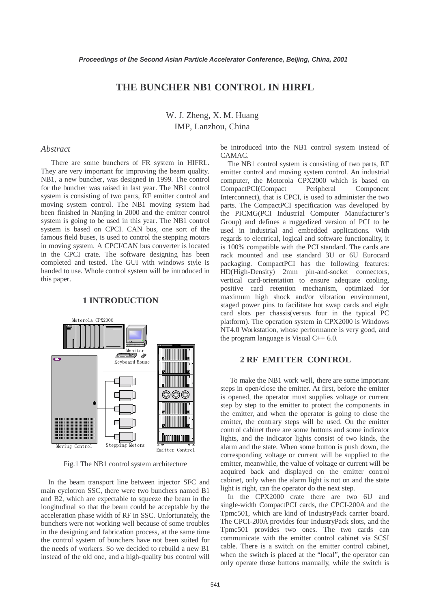# **THE BUNCHER NB1 CONTROL IN HIRFL**

W. J. Zheng, X. M. Huang IMP, Lanzhou, China

#### *Abstract*

 There are some bunchers of FR system in HIFRL. They are very important for improving the beam quality. NB1, a new buncher, was designed in 1999. The control for the buncher was raised in last year. The NB1 control system is consisting of two parts, RF emitter control and moving system control. The NB1 moving system had been finished in Nanjing in 2000 and the emitter control system is going to be used in this year. The NB1 control system is based on CPCI. CAN bus, one sort of the famous field buses, is used to control the stepping motors in moving system. A CPCI/CAN bus converter is located in the CPCI crate. The software designing has been completed and tested. The GUI with windows style is handed to use. Whole control system will be introduced in this paper.

#### **1 INTRODUCTION**



Fig.1 The NB1 control system architecture

 In the beam transport line between injector SFC and main cyclotron SSC, there were two bunchers named B1 and B2, which are expectable to squeeze the beam in the longitudinal so that the beam could be acceptable by the acceleration phase width of RF in SSC. Unfortunately, the bunchers were not working well because of some troubles in the designing and fabrication process, at the same time the control system of bunchers have not been suited for the needs of workers. So we decided to rebuild a new B1 instead of the old one, and a high-quality bus control will be introduced into the NB1 control system instead of CAMAC.

 The NB1 control system is consisting of two parts, RF emitter control and moving system control. An industrial computer, the Motorola CPX2000 which is based on CompactPCI(Compact Peripheral Component Interconnect), that is CPCI, is used to administer the two parts. The CompactPCI specification was developed by the PICMG(PCI Industrial Computer Manufacturer's Group) and defines a ruggedized version of PCI to be used in industrial and embedded applications. With regards to electrical, logical and software functionality, it is 100% compatible with the PCI standard. The cards are rack mounted and use standard 3U or 6U Eurocard packaging. CompactPCI has the following features: HD(High-Density) 2mm pin-and-socket connectors, vertical card-orientation to ensure adequate cooling, positive card retention mechanism, optimized for maximum high shock and/or vibration environment, staged power pins to facilitate hot swap cards and eight card slots per chassis(versus four in the typical PC platform). The operation system in CPX2000 is Windows NT4.0 Workstation, whose performance is very good, and the program language is Visual C++ 6.0.

## **2 RF EMITTER CONTROL**

To make the NB1 work well, there are some important steps in open/close the emitter. At first, before the emitter is opened, the operator must supplies voltage or current step by step to the emitter to protect the components in the emitter, and when the operator is going to close the emitter, the contrary steps will be used. On the emitter control cabinet there are some buttons and some indicator lights, and the indicator lights consist of two kinds, the alarm and the state. When some button is push down, the corresponding voltage or current will be supplied to the emitter, meanwhile, the value of voltage or current will be acquired back and displayed on the emitter control cabinet, only when the alarm light is not on and the state light is right, can the operator do the next step.

 In the CPX2000 crate there are two 6U and single-width CompactPCI cards, the CPCI-200A and the Tpmc501, which are kind of IndustryPack carrier board. The CPCI-200A provides four IndustryPack slots, and the Tpmc501 provides two ones. The two cards can communicate with the emitter control cabinet via SCSI cable. There is a switch on the emitter control cabinet, when the switch is placed at the "local", the operator can only operate those buttons manually, while the switch is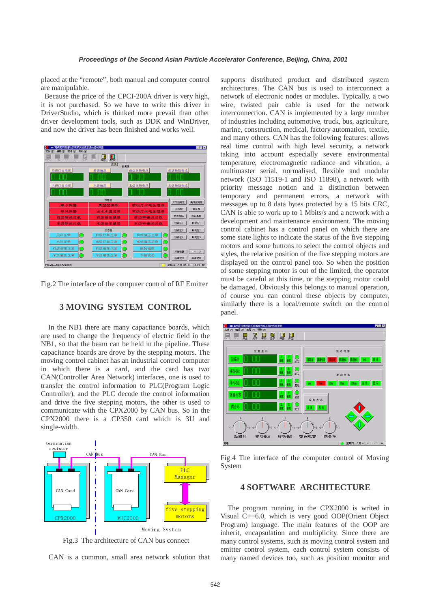placed at the "remote", both manual and computer control are manipulable.

Because the price of the CPCI-200A driver is very high, it is not purchased. So we have to write this driver in DriverStudio, which is thinked more prevail than other driver development tools, such as DDK and WinDriver, and now the driver has been finished and works well.



Fig.2 The interface of the computer control of RF Emitter

### **3 MOVING SYSTEM CONTROL**

In the NB1 there are many capacitance boards, which are used to change the frequency of electric field in the NB1, so that the beam can be held in the pipeline. These capacitance boards are drove by the stepping motors. The moving control cabinet has an industrial control computer in which there is a card, and the card has two CAN(Controller Area Network) interfaces, one is used to transfer the control information to PLC(Program Logic Controller), and the PLC decode the control information and drive the five stepping motors, the other is used to communicate with the CPX2000 by CAN bus. So in the CPX2000 there is a CP350 card which is 3U and single-width.



Fig.3 The architecture of CAN bus connect

CAN is a common, small area network solution that

supports distributed product and distributed system architectures. The CAN bus is used to interconnect a network of electronic nodes or modules. Typically, a two wire, twisted pair cable is used for the network interconnection. CAN is implemented by a large number of industries including automotive, truck, bus, agriculture, marine, construction, medical, factory automation, textile, and many others. CAN has the following features: allows real time control with high level security, a network taking into account especially severe environmental temperature, electromagnetic radiance and vibration, a multimaster serial, normalised, flexible and modular network (ISO 11519-1 and ISO 11898), a network with priority message notion and a distinction between temporary and permanent errors, a network with messages up to 8 data bytes protected by a 15 bits CRC, CAN is able to work up to 1 Mbits/s and a network with a development and maintenance environment. The moving control cabinet has a control panel on which there are some state lights to indicate the status of the five stepping motors and some buttons to select the control objects and styles, the relative position of the five stepping motors are displayed on the control panel too. So when the position of some stepping motor is out of the limited, the operator must be careful at this time, or the stepping motor could be damaged. Obviously this belongs to manual operation, of course you can control these objects by computer, similarly there is a local/remote switch on the control panel.



Fig.4 The interface of the computer control of Moving System

#### **4 SOFTWARE ARCHITECTURE**

The program running in the CPX2000 is writed in Visual C++6.0, which is very good OOP(Orient Object Program) language. The main features of the OOP are inherit, encapsulation and multiplicity. Since there are many control systems, such as moving control system and emitter control system, each control system consists of many named devices too, such as position monitor and